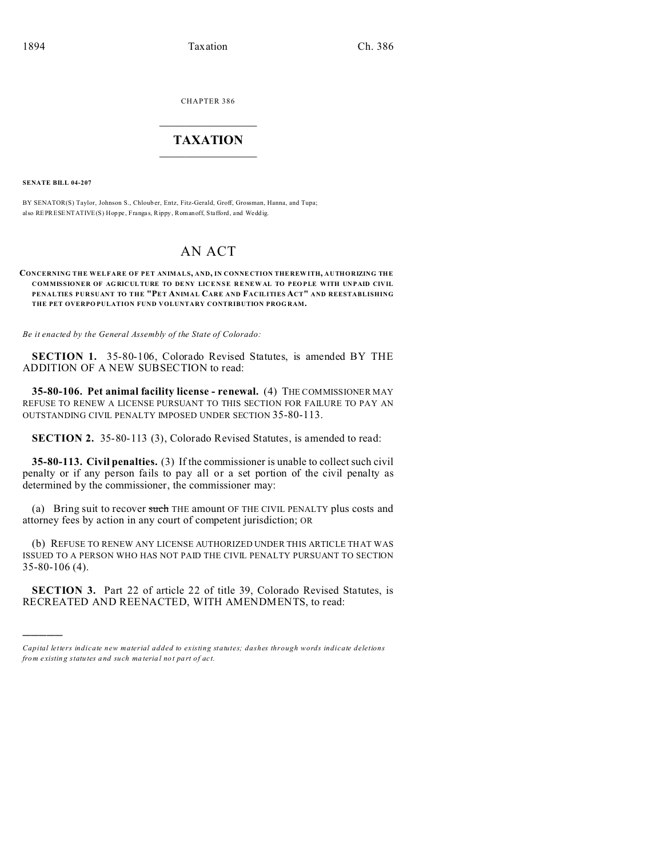CHAPTER 386  $\overline{\phantom{a}}$  , where  $\overline{\phantom{a}}$ 

## **TAXATION**  $\_$

**SENATE BILL 04-207**

)))))

BY SENATOR(S) Taylor, Johnson S., Chloub er, Entz, Fitz-Gerald, Groff, Grossman, Hanna, and Tupa; also REPRESENTATIVE(S) Hop pe , Franga s, Rippy, Romanoff, Stafford, and Wedd ig.

## AN ACT

## **CONCERNING THE WELFARE OF PET ANIMALS, AND, IN CONNE CTION THE REW ITH, AUTHORIZING THE COMMISSIONER OF AG RICULTURE TO DE NY LICENSE RENE WAL TO PEO PLE WITH UNPAID CIVIL PENALTIES PURSUANT TO THE "PET ANIMAL CARE AND FACILITIES ACT" AND REESTABLISHING THE PET OVERPO PULATION FUND VOLUNTARY CONTRIBUTION PROG RAM.**

*Be it enacted by the General Assembly of the State of Colorado:*

**SECTION 1.** 35-80-106, Colorado Revised Statutes, is amended BY THE ADDITION OF A NEW SUBSECTION to read:

**35-80-106. Pet animal facility license - renewal.** (4) THE COMMISSIONER MAY REFUSE TO RENEW A LICENSE PURSUANT TO THIS SECTION FOR FAILURE TO PAY AN OUTSTANDING CIVIL PENALTY IMPOSED UNDER SECTION 35-80-113.

**SECTION 2.** 35-80-113 (3), Colorado Revised Statutes, is amended to read:

**35-80-113. Civil penalties.** (3) If the commissioner is unable to collect such civil penalty or if any person fails to pay all or a set portion of the civil penalty as determined by the commissioner, the commissioner may:

(a) Bring suit to recover such THE amount OF THE CIVIL PENALTY plus costs and attorney fees by action in any court of competent jurisdiction; OR

(b) REFUSE TO RENEW ANY LICENSE AUTHORIZED UNDER THIS ARTICLE THAT WAS ISSUED TO A PERSON WHO HAS NOT PAID THE CIVIL PENALTY PURSUANT TO SECTION 35-80-106 (4).

**SECTION 3.** Part 22 of article 22 of title 39, Colorado Revised Statutes, is RECREATED AND REENACTED, WITH AMENDMENTS, to read:

*Capital letters indicate new material added to existing statutes; dashes through words indicate deletions from e xistin g statu tes a nd such ma teria l no t pa rt of ac t.*